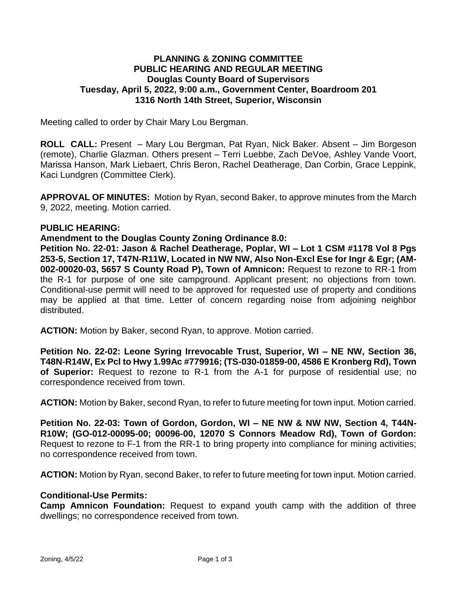# **PLANNING & ZONING COMMITTEE PUBLIC HEARING AND REGULAR MEETING Douglas County Board of Supervisors Tuesday, April 5, 2022, 9:00 a.m., Government Center, Boardroom 201 1316 North 14th Street, Superior, Wisconsin**

Meeting called to order by Chair Mary Lou Bergman.

**ROLL CALL:** Present – Mary Lou Bergman, Pat Ryan, Nick Baker. Absent – Jim Borgeson (remote), Charlie Glazman. Others present – Terri Luebbe, Zach DeVoe, Ashley Vande Voort, Marissa Hanson, Mark Liebaert, Chris Beron, Rachel Deatherage, Dan Corbin, Grace Leppink, Kaci Lundgren (Committee Clerk).

**APPROVAL OF MINUTES:** Motion by Ryan, second Baker, to approve minutes from the March 9, 2022, meeting. Motion carried.

#### **PUBLIC HEARING:**

**Amendment to the Douglas County Zoning Ordinance 8.0:**

**Petition No. 22-01: Jason & Rachel Deatherage, Poplar, WI – Lot 1 CSM #1178 Vol 8 Pgs 253-5, Section 17, T47N-R11W, Located in NW NW, Also Non-Excl Ese for Ingr & Egr; (AM-002-00020-03, 5657 S County Road P), Town of Amnicon:** Request to rezone to RR-1 from the R-1 for purpose of one site campground. Applicant present; no objections from town. Conditional-use permit will need to be approved for requested use of property and conditions may be applied at that time. Letter of concern regarding noise from adjoining neighbor distributed.

**ACTION:** Motion by Baker, second Ryan, to approve. Motion carried.

**Petition No. 22-02: Leone Syring Irrevocable Trust, Superior, WI – NE NW, Section 36, T48N-R14W, Ex Pcl to Hwy 1.99Ac #779916; (TS-030-01859-00, 4586 E Kronberg Rd), Town of Superior:** Request to rezone to R-1 from the A-1 for purpose of residential use; no correspondence received from town.

**ACTION:** Motion by Baker, second Ryan, to refer to future meeting for town input. Motion carried.

**Petition No. 22-03: Town of Gordon, Gordon, WI – NE NW & NW NW, Section 4, T44N-R10W; (GO-012-00095-00; 00096-00, 12070 S Connors Meadow Rd), Town of Gordon:** Request to rezone to F-1 from the RR-1 to bring property into compliance for mining activities; no correspondence received from town.

**ACTION:** Motion by Ryan, second Baker, to refer to future meeting for town input. Motion carried.

#### **Conditional-Use Permits:**

**Camp Amnicon Foundation:** Request to expand youth camp with the addition of three dwellings; no correspondence received from town.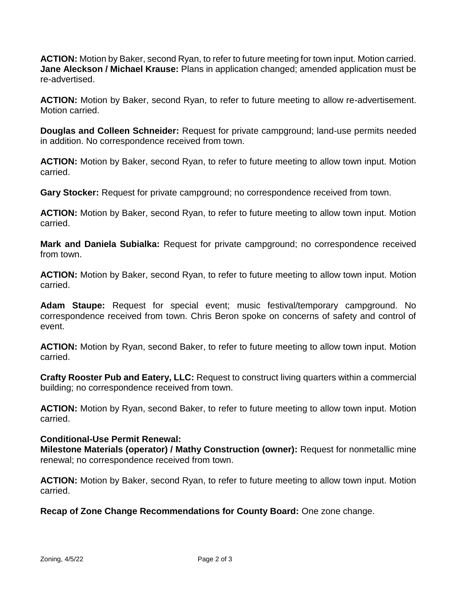**ACTION:** Motion by Baker, second Ryan, to refer to future meeting for town input. Motion carried. **Jane Aleckson / Michael Krause:** Plans in application changed; amended application must be re-advertised.

**ACTION:** Motion by Baker, second Ryan, to refer to future meeting to allow re-advertisement. Motion carried.

**Douglas and Colleen Schneider:** Request for private campground; land-use permits needed in addition. No correspondence received from town.

**ACTION:** Motion by Baker, second Ryan, to refer to future meeting to allow town input. Motion carried.

**Gary Stocker:** Request for private campground; no correspondence received from town.

**ACTION:** Motion by Baker, second Ryan, to refer to future meeting to allow town input. Motion carried.

**Mark and Daniela Subialka:** Request for private campground; no correspondence received from town.

**ACTION:** Motion by Baker, second Ryan, to refer to future meeting to allow town input. Motion carried.

**Adam Staupe:** Request for special event; music festival/temporary campground. No correspondence received from town. Chris Beron spoke on concerns of safety and control of event.

**ACTION:** Motion by Ryan, second Baker, to refer to future meeting to allow town input. Motion carried.

**Crafty Rooster Pub and Eatery, LLC:** Request to construct living quarters within a commercial building; no correspondence received from town.

**ACTION:** Motion by Ryan, second Baker, to refer to future meeting to allow town input. Motion carried.

## **Conditional-Use Permit Renewal:**

**Milestone Materials (operator) / Mathy Construction (owner):** Request for nonmetallic mine renewal; no correspondence received from town.

**ACTION:** Motion by Baker, second Ryan, to refer to future meeting to allow town input. Motion carried.

**Recap of Zone Change Recommendations for County Board:** One zone change.